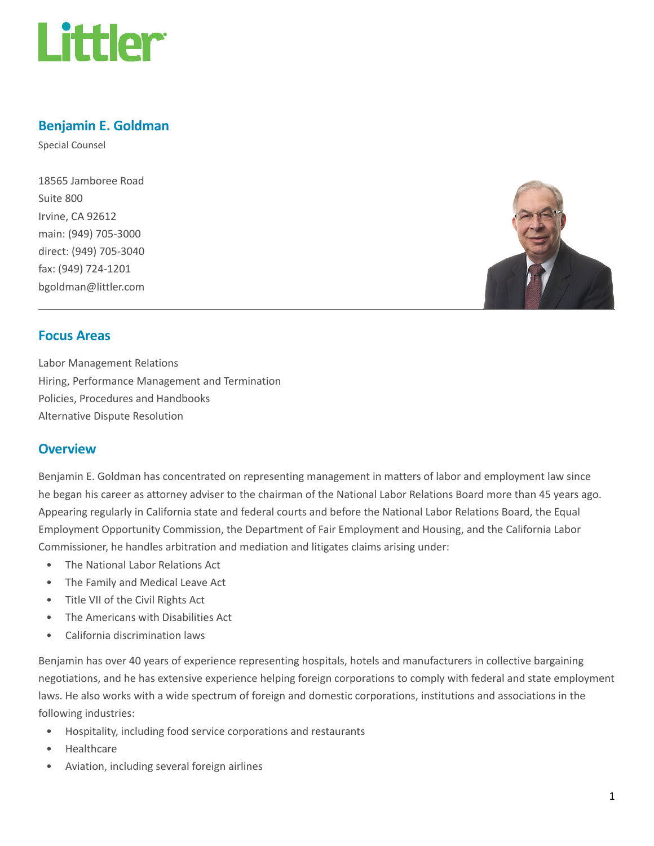

# Benjamin E. Goldman

Special Counsel

18565 Jamboree Road Suite 800 Irvine, CA 92612 main: (949) 705-3000 direct: (949) 705-3040 fax: (949) 724-1201 bgoldman@littler.com



## Focus Areas

Labor Management Relations Hiring, Performance Management and Termination Policies, Procedures and Handbooks Alternative Dispute Resolution

## **Overview**

Benjamin E. Goldman has concentrated on representing management in matters of labor and employment law since he began his career as attorney adviser to the chairman of the National Labor Relations Board more than 45 years ago. Appearing regularly in California state and federal courts and before the National Labor Relations Board, the Equal Employment Opportunity Commission, the Department of Fair Employment and Housing, and the California Labor Commissioner, he handles arbitration and mediation and litigates claims arising under:

- The National Labor Relations Act
- The Family and Medical Leave Act
- Title VII of the Civil Rights Act
- The Americans with Disabilities Act
- California discrimination laws

Benjamin has over 40 years of experience representing hospitals, hotels and manufacturers in collective bargaining negotiations, and he has extensive experience helping foreign corporations to comply with federal and state employment laws. He also works with a wide spectrum of foreign and domestic corporations, institutions and associations in the following industries:

- Hospitality, including food service corporations and restaurants
- Healthcare
- Aviation, including several foreign airlines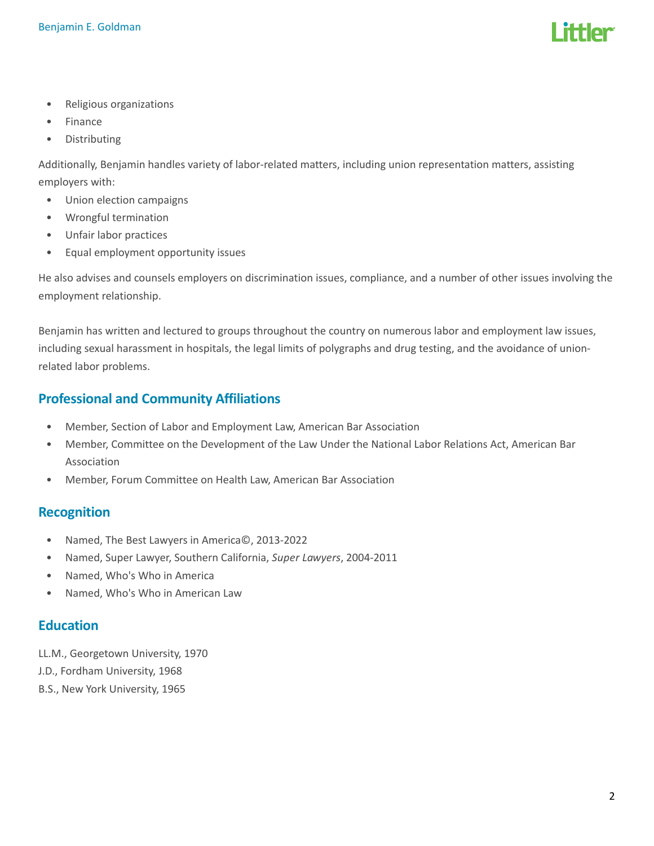

- Religious organizations
- Finance
- Distributing

Additionally, Benjamin handles variety of labor-related matters, including union representation matters, assisting employers with:

- Union election campaigns
- Wrongful termination
- Unfair labor practices
- Equal employment opportunity issues

He also advises and counsels employers on discrimination issues, compliance, and a number of other issues involving the employment relationship.

Benjamin has written and lectured to groups throughout the country on numerous labor and employment law issues, including sexual harassment in hospitals, the legal limits of polygraphs and drug testing, and the avoidance of unionrelated labor problems.

## Professional and Community Affiliations

- Member, Section of Labor and Employment Law, American Bar Association
- Member, Committee on the Development of the Law Under the National Labor Relations Act, American Bar Association
- Member, Forum Committee on Health Law, American Bar Association

## Recognition

- Named, The Best Lawyers in America©, 2013-2022
- Named, Super Lawyer, Southern California, Super Lawyers, 2004-2011
- Named, Who's Who in America
- Named, Who's Who in American Law

## **Education**

- LL.M., Georgetown University, 1970
- J.D., Fordham University, 1968
- B.S., New York University, 1965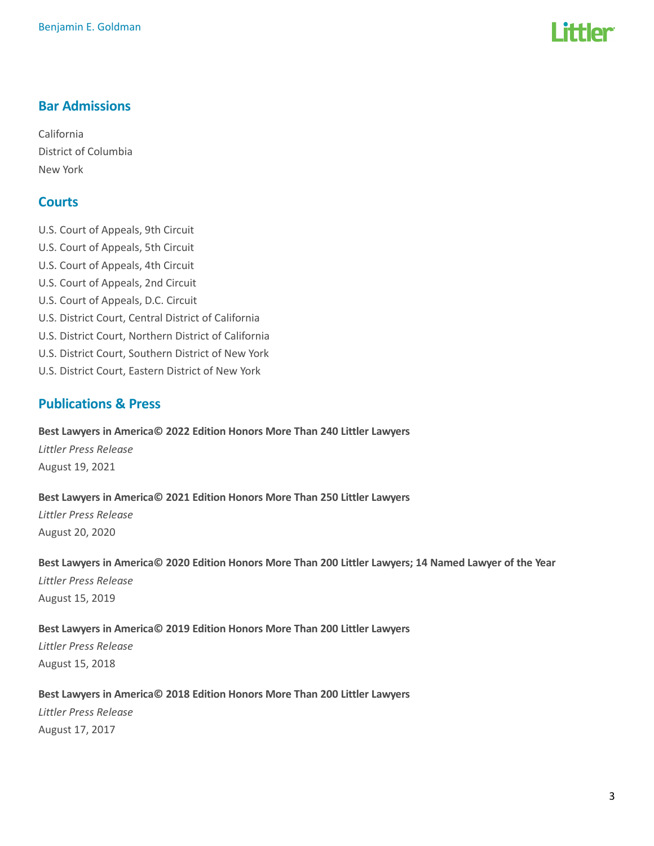

# Bar Admissions

California District of Columbia New York

# **Courts**

U.S. Court of Appeals, 9th Circuit U.S. Court of Appeals, 5th Circuit U.S. Court of Appeals, 4th Circuit U.S. Court of Appeals, 2nd Circuit U.S. Court of Appeals, D.C. Circuit U.S. District Court, Central District of California U.S. District Court, Northern District of California U.S. District Court, Southern District of New York U.S. District Court, Eastern District of New York

# Publications & Press

# Best Lawyers in America© 2022 Edition Honors More Than 240 Littler Lawyers Littler Press Release

August 19, 2021

### Best Lawyers in America© 2021 Edition Honors More Than 250 Littler Lawyers

Littler Press Release August 20, 2020

### Best Lawyers in America© 2020 Edition Honors More Than 200 Littler Lawyers; 14 Named Lawyer of the Year

Littler Press Release August 15, 2019

## Best Lawyers in America© 2019 Edition Honors More Than 200 Littler Lawyers

Littler Press Release August 15, 2018

## Best Lawyers in America© 2018 Edition Honors More Than 200 Littler Lawyers

Littler Press Release August 17, 2017